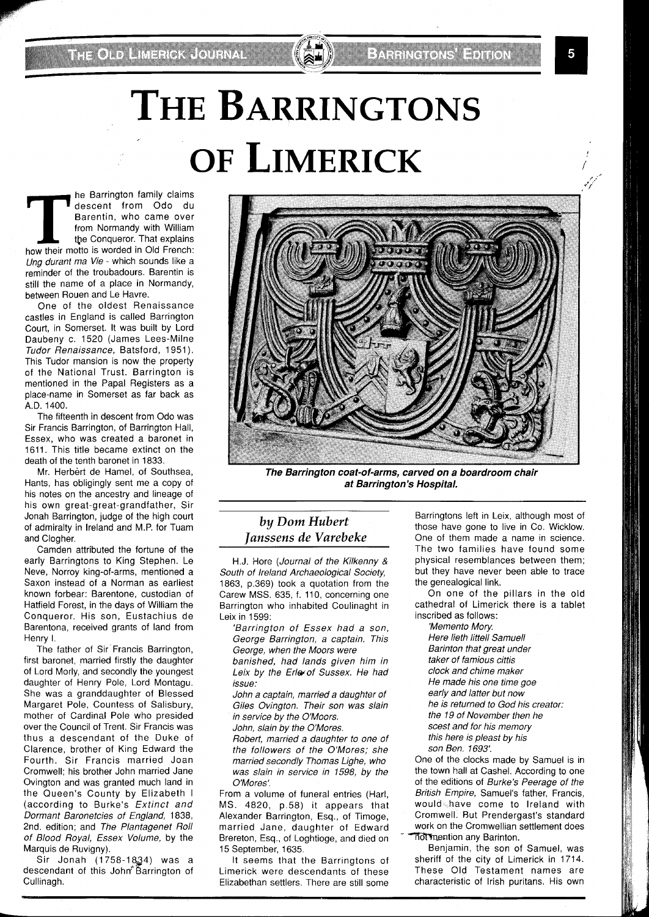**THE PERITM ISSUE CONSIDER THE PROPERTIES CONSIDER**<br> **THE BARRISH CONSIDER IS A PROPERTY OF A PROPERTY OF A PROPERTY AND THE PROPERTY AND REFERITION IS WORDER TO A PROPERTY A PROPERTY AND REPORT OF A PROPERTY AND REFERITIO** descent from Odo du Barentin, who came over from Normandy with William the Conqueror. That explains Ung durant ma Vie - which sounds like a reminder of the troubadours. Barentin is still the name of a place in Normandy, between Rouen and Le Havre.

One of the oldest Renaissance castles in England is called Barrington Court, in Somerset. It was built by Lord Daubeny c. 1520 (James Lees-Milne Tudor Renaissance, Batsford, 1951). This Tudor mansion is now the property of the National Trust. Barrington is mentioned in the Papal Registers as a place-name in Somerset as far back as A.D. 1400.

The fifteenth in descent from Odo was Sir Francis Barrington, of Barrington Hall, Essex, who was created a baronet in 1611. This title became extinct on the death of the tenth baronet in 1833.

Mr. Herbert de Hamel, of Southsea, Hants, has obligingly sent me a copy of his notes on the ancestry and lineage of his own great-great-grandfather, Sir Jonah Barrington, judge of the high court of admiralty in Ireland and M.P. for Tuam and Clogher.

Camden attributed the fortune of the early Barringtons to King Stephen. Le Neve, Norroy king-of-arms, mentioned a Saxon instead of a Norman as earliest known forbear: Barentone, custodian of Hatfield Forest, in the days of William the Conqueror. His son, Eustachius de Barentona, received grants of land from Henry I.

The father of Sir Francis Barrington, first baronet, married firstly the daughter of Lord Morly, and secondly the youngest daughter of Henry Pole, Lord Montagu. She was a granddaughter of Blessed Margaret Pole, Countess of Salisbury, mother of Cardinal Pole who presided over the Council of Trent. Sir Francis was thus a descendant of the Duke of Clarence, brother of King Edward the Fourth. Sir Francis married Joan Cromwell; his brother John married Jane Ovington and was granted much land in the Queen's County by Elizabeth I (according to Burke's Extinct and Dormant Baronetcies of England, 1838, 2nd. edition; and The Plantagenet Roll of Blood Royal, Essex Volume, by the Marquis de Ruvigny).

Sir Jonah (1758-1834) was a descendant of this John Barrington of Cullinagh.

**BARRICH BARRY** 

## *by Dom Hubert Janssens de Varebeke*

H.J. Hore (Journal of the Kilkenny & South of Ireland Archaeological Society, 1863, p.369) took a quotation from the Carew MSS. 635, f. 110, concerning one Barrington who inhabited Coulinaght in Leix in 1599:

'Barrington of Essex had a son, George Barrington, a captain. This George, when the Moors were banished, had lands given him in Leix by the Erle of Sussex. He had issue:

John a captain, married a daughter of Giles Ovington. Their son was slain in service by the O'Moors.

John, slain by the O'Mores.

Robert, married a daughter to one of the followers of the O'Mores; she married secondly Thomas Lighe, who was slain in service in 1598, by the O'Mores'.

From a volume of funeral entries (Harl, MS. 4820, p.58) it appears that Alexander Barrington, Esq., of Timoge, married Jane, daughter of Edward Brereton, Esq., of Loghtioge, and died on 15 September, 1635.

It seems that the Barringtons of Limerick were descendants of these Elizabethan settlers. There are still some

Barringtons left in Leix, although most of those have gone to live in Co. Wicklow. One of them made a name in science. The two families have found some physical resemblances between them; but they have never been able to trace the genealogical link.

On one of the pillars in the old cathedral of Limerick there is a tablet inscribed as follows:

'Memento Mory. Here lieth littell Samuell Barinton that great under taker of famious cittis clock and chime maker He made his one time goe early and latter but now he is returned to God his creator: the 19 of November then he scest and for his memory this here is pleast by his son Ben. 1693:

One of the clocks made by Samuel is in the town hall at Cashel. According to one of the editions of Burke's Peerage of the British Empire, Samuel's father, Francis, would have come to Ireland with Cromwell. But Prendergast's standard work on the Cromwellian settlement does *not mention any Barinton.* 

Benjamin, the son of Samuel, was sheriff of the city of Limerick in 1714. These Old Testament names are characteristic of Irish puritans. His own

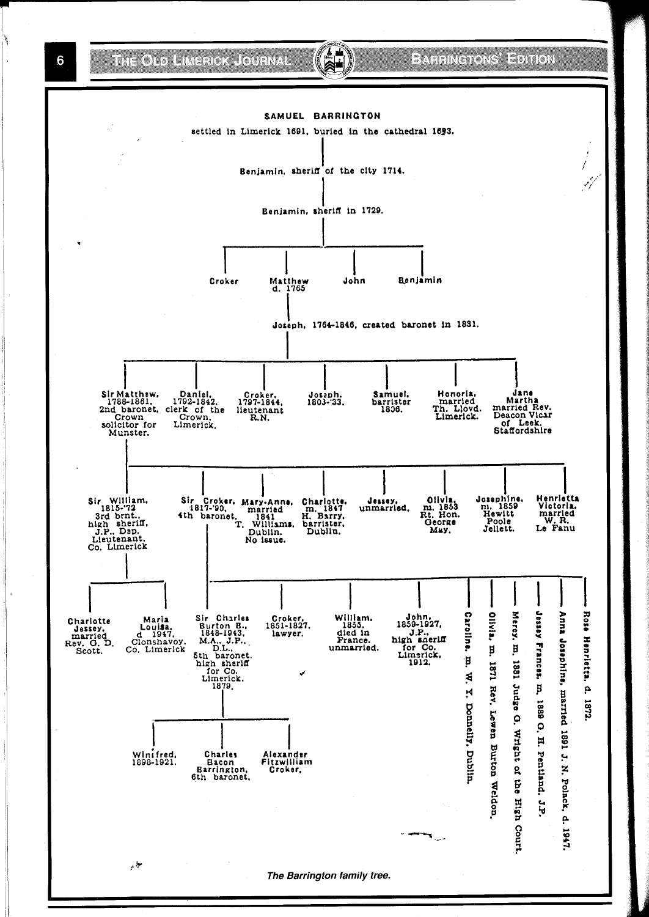THE OLD LIMENCK CODE VAL

6

## BARRINGTONS' EDITION

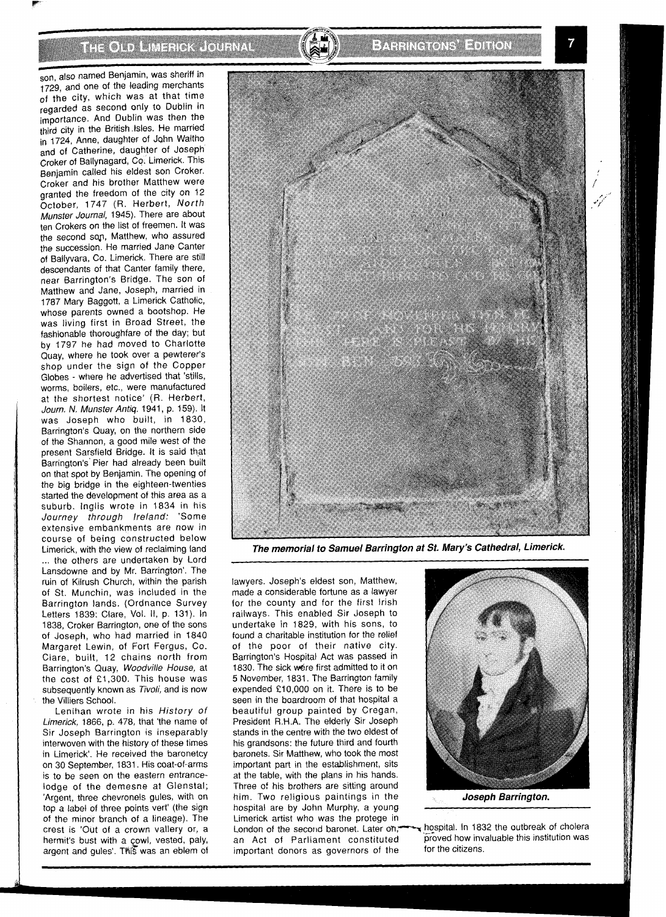THE OLD LIMENSK LOURVAL

son, also named Benjamin, was sheriff in 1729, and one of the leading merchants of the city, which was at that time regarded as second only to Dublin in importance. And Dublin was then the third city in the British Isles. He married in 1724, Anne, daughter of John Waltho and of Catherine, daughter of Joseph Croker of Ballynagard, Co. Limerick. This Benjamin called his eldest son Croker. Croker and his brother Matthew were granted the freedom of the city on 12 October, 1747 (R. Herbert, North Munster Journal, 1945). There are about ten Crokers on the list of freemen. It was the second son, Matthew, who assured the succession. He married Jane Canter of Ballyvara, Co. Limerick. There are still descendants of that Canter family there, near Barrington's Bridge. The son of Matthew and Jane, Joseph, married in 1787 Mary Baggott, a Limerick Catholic, whose parents owned a bootshop. He was living first in Broad Street, the fashionable thoroughfare of the day; but by 1797 he had moved to Charlotte Quay, where he took over a pewterer's shop under the sign of the Copper Globes - where he advertised that 'stills, worms, boilers, etc., were manufactured at the shortest notice' (R. Herbert, Journ. N. Munster Antiq. 1941, p. 159). It was Joseph who built, in 1830, Barrington's Quay, on the northern side of the Shannon, a good mile west of the present Sarsfield Bridge. It is said that Barrington's' Pier had already been built on that spot by Benjamin. The opening of the big bridge in the eighteen-twenties started the development of this area as a suburb. lnglis wrote in 1834 in his Journey through Ireland: 'Some extensive embankments are now in course of being constructed below Limerick, with the view of reclaiming land ... the others are undertaken by Lord Lansdowne and by Mr. Barrington'. The ruin of Kilrush Church, within the parish of St. Munchin, was included in the Barrington lands. (Ordnance Survey Letters 1839: Clare, Vol. II, p. 131). In 1838, Croker Barrington, one of the sons of Joseph, who had married in 1840 Margaret Lewin, of Fort Fergus, Co. Clare, built, 12 chains north from Barrington's Quay, Woodville House, at the cost of £1,300. This house was subsequently known as Tivoli, and is now the Villiers School.

Lenihan wrote in his History of Limerick, 1866, p. 478, that 'the name of Sir Joseph Barrington is inseparably interwoven with the history of these times in Limerick'. He received the baronetcy on 30 September, 1831. His coat-of-arms is to be seen on the eastern entrancelodge of the demesne at Glenstal; 'Argent, three chevronels gules, with on top a label of three points vert' (the sign of the minor branch of a lineage). The crest is 'Out of a crown vallery or, a hermit's bust with a cowl, vested, paly, argent and gules'. This was an eblem of



**The memorial to Samuel Barrington at St Mary's Cathedral, Limerick.** 

lawyers. Joseph's eldest son, Matthew, made a considerable fortune as a lawyer for the county and for the first Irish railways. This enabled Sir Joseph to undertake in 1829, with his sons, to found a charitable institution for the relief of the poor of their native city. Barrington's Hospital Act was passed in 1830. The sick were first admitted to it on 5 November, 1831. The Barrington family expended £10,000 on it. There is to be seen in the boardroom of that hospital a beautiful group painted by Cregan, President R.H.A. The elderly Sir Joseph stands in the centre with the two eldest of his grandsons: the future third and fourth baronets. Sir Matthew, who took the most important part in the establishment, sits at the table, with the plans in his hands. Three of his brothers are sitting around him. Two religious paintings in the **Joseph Barrington.**<br>
hospital are by John Murphy, a young Limerick artist who was the protege in London of the second baronet. Later on,  $\leftarrow$  hospital. In 1832 the outbreak of cholera an Act of Parliament constituted proved how invariant donors as governors of the  $\frac{1}{100}$  for the citizens. important donors as governors of the

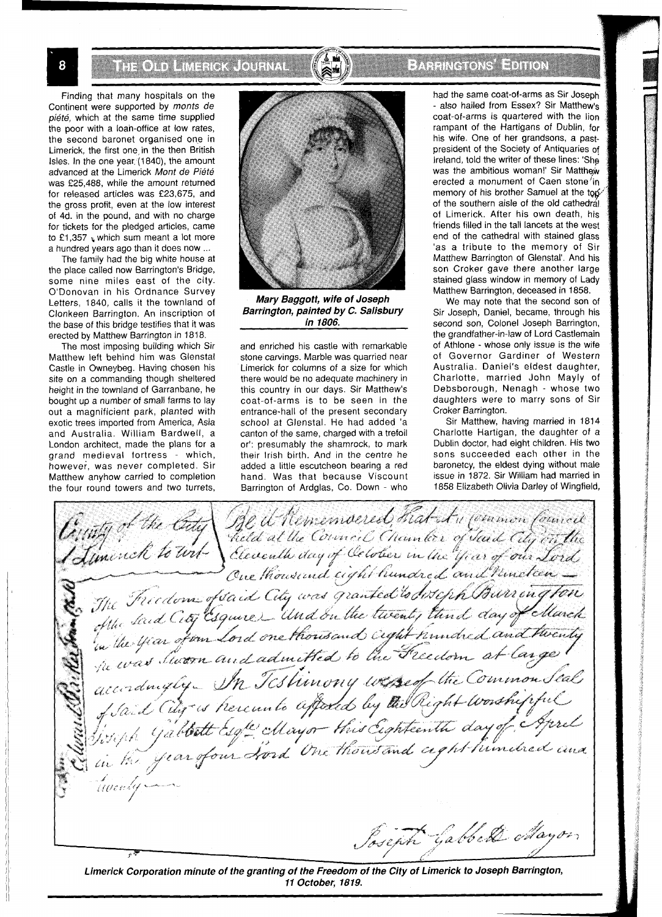THOT HARROUNAL

EARRING ONS HENRICH

Finding that many hospitals on the Continent were supported by monts de piété, which at the same time supplied the poor with a loan-office at low rates, the second baronet organised one in Limerick, the first one in the then British Isles. In the one year, (1840), the amount advanced at the Limerick Mont de Piété was £25,488, while the amount returned for released articles was £23,675, and the gross profit, even at the low interest of 4d. in the pound, and with no charge for tickets for the pledged articles, came to  $£1,357$  which sum meant a lot more a hundred years ago than it does now ...

The family had the big white house at the place called now Barrington's Bridge, some nine miles east of the city. O'Donovan in his Ordnance Survey Letters, 1840, calls it the townland of Clonkeen Barrington. An inscription of the base of this bridge testifies that it was erected by Matthew Barrington in 1818.

The most imposing building which Sir Matthew left behind him was Glenstal Castle in Owneybeg. Having chosen his site on a commanding though sheltered height in the townland of Garranbane, he bought up a number of small farms to lay out a magnificient park, planted with exotic trees imported from America, Asia and Australia. William Bardwell, a London architect, made the plans for a grand medieval fortress - which, howeve;, was never completed. Sir Matthew anyhow carried to completion the four round towers and two turrets,



**Mary Baggott, wife of Joseph Barrington, painted by C. Salisbury in 1806.** 

and enriched his castle with remarkable stone carvings. Marble was quarried near Limerick for columns of a size for which there would be no adequate machinery in this country in our days. Sir Matthew's coat-of-arms is to be seen in the entrance-hall of the present secondary school at Glenstal. He had added 'a canton of the same, charged with a trefoil or': presumably the shamrock, to mark their Irish birth. And in the centre he added a little escutcheon bearing a red hand. Was that because Viscount Barrington of Ardglas, Co. Down - who

had the same coat-of-arms as Sir Joseph - also hailed from Essex? Sir Matthew's coat-of-arms is quartered with the lion rampant of the Hartigans of Dublin, for his wife. One of her grandsons, a pastpresident of the Society of Antiquaries of Ireland, told the writer of these lines: 'She was the ambitious woman!' Sir Matthew erected a monument of Caen stone/in memory of his brother Samuel at the top of the southern aisle of the old cathedral. of Limerick. After his own death, his friends filled in the tall lancets at the west end of the cathedral with stained glass 'as a tribute to the memory of Sir Matthew Barrington of Glenstal'. And his son Croker gave there another large stained glass window in memory of Lady Matthew Barrington, deceased in 1858.

We may note that the second son of Sir Joseph, Daniel, became, through his second son, Colonel Joseph Barrington, the grandfather-in-law of Lord Castlemain of Athlone - whose only issue is the wife of Governor Gardiner of Western Australia. Daniel's eldest daughter, Charlotte, married John Mayly of Debsborough, Nenagh - whose two daughters were to marry sons of Sir Croker Barrington.

Sir Matthew, having married in 1814 Charlotte Hartigan, the daughter of a Dublin doctor, had eight children. His two sons succeeded each other in the baronetcy, the eldest dying without male issue in 1872. Sir William had married in 1858 Elizabeth Olivia Darley of Wingfield,

County of the City See it Remembered, That In Common Council The Freedom of Said City was granted to disciple Burrow engton<br>The Said City Cignics Und on the twenty thind day of March<br>In the spian of our Lord one thousand cight hundred and twenty<br>In the was Swoon and admitted to the accordingly In Testimony wesself the Common Seal accordingly In Icstimony wested the commonsed Tuenty -Joseph Gabbell Mayon

Limerick Corporation minute of the granting of the Freedom of the City of Limerick to Joseph Barrington, **11 October, 1819.**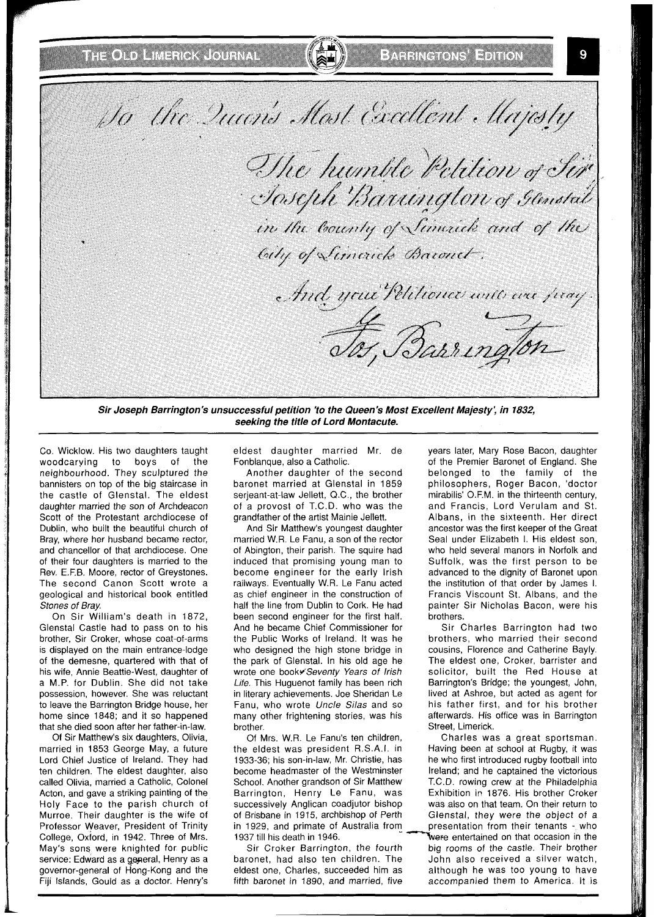Do the Quarts Most Cacellont Majosty The humble Petition of Sir · Joseph Barungton of Genstal in the bounty of Similar and of the City of Simerick Bacouch. And your Petitioner unto over firay. Tos, Barrington

**Sir Joseph Barrington's unsuccessful petition 'to the Queen's Most Excellent Majesty; in 7832, seeking the title of Lord Montacute.** 

Co. Wicklow. His two daughters taught woodcarving to boys of the neighbourhood. They sculptured the bannisters on top of the big staircase in the castle of Glenstal. The eldest daughter married the son of Archdeacon Scott of the Protestant archdiocese of Dublin, who built the beautiful church of Bray, where her husband became rector, and chancellor of that archdiocese. One of their four daughters is married to the Rev. E.F.B. Moore, rector of Greystones. The second Canon Scott wrote a geological and historical book entitled Stones of Bray.

On Sir William's death in 1872, Glenstal Castle had to pass on to his brother, Sir Croker, whose coat-of-arms is displayed on the main entrance-lodge of the demesne, quartered with that of his wife, Annie Beattie-West, daughter of a M.P. for Dublin. She did not take possession, however. She was reluctant to leave the Barrington Bridge house, her home since 1848; and it so happened that she died soon after her father-in-law.

Of Sir Matthew's six daughters, Olivia, married in 1853 George May, a future Lord Chief Justice of Ireland. They had ten children. The eldest daughter, also called Olivia, married a Catholic, Colonel Acton, and gave a striking painting of the Holy Face to the parish church of Murroe. Their daughter is the wife of Professor Weaver, President of Trinity College, Oxford, in 1942. Three of Mrs. May's sons were knighted for public service: Edward as a general, Henry as a governor-general of Hong-Kong and the Fiji Islands, Gould as a doctor. Henry's

eldest daughter married Mr. de Fonblanque, also a Catholic.

Another daughter of the second baronet married at Glenstal in 1859 serjeant-at-law Jellett, Q.C., the brother of a provost of T.C.D. who was the grandfather of the artist Mainie Jellett.

And Sir Matthew's youngest daughter married W.R. Le Fanu, a son of the rector of Abington, their parish. The squire had induced that promising young man to become engineer for the early lrish railways. Eventually W.R. Le Fanu acted as chief engineer in the construction of half the line from Dublin to Cork. He had been second engineer for the first half. And he became Chief Commissioner for the Public Works of Ireland. It was he who designed the high stone bridge in the park of Glenstal. In his old age he wrote one book+Seventy Years of Irish Life. This Huguenot family has been rich in literary achievements. Joe Sheridan Le Fanu, who wrote Uncle Silas and so many other frightening stories, was his brother.

Of Mrs. W.R. Le Fanu's ten children, the eldest was president R.S.A.I. in 1933-36; his son-in-law, Mr. Christie, has become headmaster of the Westminster School. Another grandson of Sir Matthew Barrington, Henry Le Fanu, was successively Anglican coadjutor bishop of Brisbane in 1915, archbishop of Perth in 1929, and primate of Australia from

baronet, had also ten children. The John also received a silver watch, eldest one, Charles, succeeded him as although he was too young to have eldest one, Charles, succeeded him as fifth baronet in 1890, and married, five accompanied them to America. It is

years later, Mary Rose Bacon, daughter of the Premier Baronet of England. She belonged to the family of the philosophers, Roger Bacon, 'doctor mirabilis' O.F.M. in the thirteenth century, and Francis, Lord Verulam and St. Albans, in the sixteenth. Her direct ancestor was the first keeper of the Great Seal under Elizabeth I. His eldest son, who held several manors in Norfolk and Suffolk, was the first person to be advanced to the dignity of Baronet upon the institution of that order by James I. Francis Viscount St. Albans, and the painter Sir Nicholas Bacon, were his brothers.

Sir Charles Barrington had two brothers, who married their second cousins, Florence and Catherine Bayly. The eldest one, Croker, barrister and solicitor, built the Red House at Barrington's Bridge; the youngest, John, lived at Ashroe, but acted as agent for his father first, and for his brother afterwards. His office was in Barrington Street, Limerick.

Charles was a great sportsman. Having been at school at Rugby, it was he who first introduced rugby football into Ireland; and he captained the victorious T.C.D. rowing crew at the Philadelphia Exhibition in 1876. His brother Croker was also on that team. On their return to Glenstal, they were the object of a presentation from their tenants - who 1937 till his death in 1946.<br>Sir Croker Barrington, the fourth big rooms of the castle. Their brother big rooms of the castle. Their brother